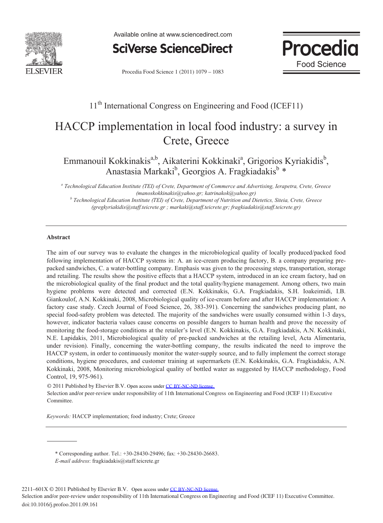

Available online at www.sciencedirect.com

**SciVerse ScienceDirect** 



Procedia Food Science 1 (2011) 1079 – 1083

## 11<sup>th</sup> International Congress on Engineering and Food (ICEF11)

# HACCP implementation in local food industry: a survey in Crete, Greece

### Emmanouil Kokkinakis<sup>a,b</sup>, Aikaterini Kokkinaki<sup>a</sup>, Grigorios Kyriakidis<sup>b</sup>, Anastasia Markaki<sup>b</sup>, Georgios A. Fragkiadakis<sup>b</sup>\*

*a Technological Education Institute (TEI) of Crete, Department of Commerce and Advertising, Ierapetra, Crete, Greece (manoskokkinakis@yahoo.gr; katrinakok@yahoo.gr) b Technological Education Institute (TEI) of Crete, Department of Nutrition and Dietetics, Siteia, Crete, Greece* 

*(gregkyriakidis@staff.teicrete.gr ; markaki@staff.teicrete.gr; fragkiadakis@staff.teicrete.gr)* 

#### **Abstract**

The aim of our survey was to evaluate the changes in the microbiological quality of locally produced/packed food following implementation of HACCP systems in: A. an ice-cream producing factory, B. a company preparing prepacked sandwiches, C. a water-bottling company. Emphasis was given to the processing steps, transportation, storage and retailing. The results show the positive effects that a HACCP system, introduced in an ice cream factory, had on the microbiological quality of the final product and the total quality/hygiene management. Among others, two main hygiene problems were detected and corrected (E.N. Kokkinakis, G.A. Fragkiadakis, S.H. Ioakeimidi, I.B. Giankoulof, A.N. Kokkinaki, 2008, Microbiological quality of ice-cream before and after HACCP implementation: A factory case study. Czech Journal of Food Science, 26, 383-391). Concerning the sandwiches producing plant, no special food-safety problem was detected. The majority of the sandwiches were usually consumed within 1-3 days, however, indicator bacteria values cause concerns on possible dangers to human health and prove the necessity of monitoring the food-storage conditions at the retailer's level (E.N. Kokkinakis, G.A. Fragkiadakis, A.N. Kokkinaki, N.E. Lapidakis, 2011, Microbiological quality of pre-packed sandwiches at the retailing level, Acta Alimentaria, under revision). Finally, concerning the water-bottling company, the results indicated the need to improve the HACCP system, in order to continuously monitor the water-supply source, and to fully implement the correct storage conditions, hygiene procedures, and customer training at supermarkets (E.N. Kokkinakis, G.A. Fragkiadakis, A.N. Kokkinaki, 2008, Monitoring microbiological quality of bottled water as suggested by HACCP methodology, Food Control, 19, 975-961).

© 2011 Published by Elsevier B.V. Open access under [CC BY-NC-ND license.](http://creativecommons.org/licenses/by-nc-nd/3.0/) Selection and/or peer-review under responsibility of 11th International Congress on Engineering and Food (ICEF 11) Executive Committee.

*Keywords:* HACCP implementation; food industry; Crete; Greece

\* Corresponding author. Tel.: +30-28430-29496; fax: +30-28430-26683. *E-mail address*: fragkiadakis@staff.teicrete.gr

2211-601X © 2011 Published by Elsevier B.V. Open access under [CC BY-NC-ND license.](http://creativecommons.org/licenses/by-nc-nd/3.0/)

doi:10.1016/j.profoo.2011.09.161 Selection and/or peer-review under responsibility of 11th International Congress on Engineering and Food (ICEF 11) Executive Committee.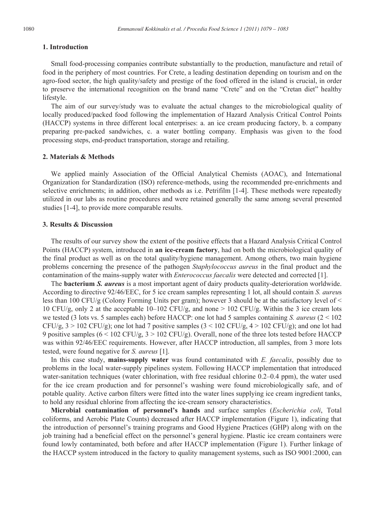#### **1. Introduction**

Small food-processing companies contribute substantially to the production, manufacture and retail of food in the periphery of most countries. For Crete, a leading destination depending on tourism and on the agro-food sector, the high quality/safety and prestige of the food offered in the island is crucial, in order to preserve the international recognition on the brand name "Crete" and on the "Cretan diet" healthy lifestyle.

The aim of our survey/study was to evaluate the actual changes to the microbiological quality of locally produced/packed food following the implementation of Hazard Analysis Critical Control Points (HACCP) systems in three different local enterprises: a. an ice cream producing factory, b. a company preparing pre-packed sandwiches, c. a water bottling company. Emphasis was given to the food processing steps, end-product transportation, storage and retailing.

#### **2. Materials & Methods**

We applied mainly Association of the Official Analytical Chemists (AOAC), and International Organization for Standardization (ISO) reference-methods, using the recommended pre-enrichments and selective enrichments; in addition, other methods as i.e. Petrifilm [1-4]. These methods were repeatedly utilized in our labs as routine procedures and were retained generally the same among several presented studies [1-4], to provide more comparable results.

#### **3. Results & Discussion**

The results of our survey show the extent of the positive effects that a Hazard Analysis Critical Control Points (HACCP) system, introduced in **an ice-cream factory**, had on both the microbiological quality of the final product as well as on the total quality/hygiene management. Among others, two main hygiene problems concerning the presence of the pathogen *Staphylococcus aureus* in the final product and the contamination of the mains-supply water with *Enterococcus faecalis* were detected and corrected [1].

The **bacterium** *S. aureus* is a most important agent of dairy products quality-deterioration worldwide. According to directive 92/46/EEC, for 5 ice cream samples representing 1 lot, all should contain *S. aureu*s less than 100 CFU/g (Colony Forming Units per gram); however 3 should be at the satisfactory level of < 10 CFU/g, only 2 at the acceptable  $10-102$  CFU/g, and none  $> 102$  CFU/g. Within the 3 ice cream lots we tested (3 lots vs. 5 samples each) before HACCP: one lot had 5 samples containing *S. aureus* (2 < 102  $CFU/g$ ,  $3 > 102$  CFU/g); one lot had 7 positive samples  $(3 < 102$  CFU/g,  $4 > 102$  CFU/g); and one lot had 9 positive samples (6 < 102 CFU/g, 3 > 102 CFU/g). Overall, none of the three lots tested before HACCP was within 92/46/EEC requirements. However, after HACCP introduction, all samples, from 3 more lots tested, were found negative for *S. aureus* [1].

In this case study, **mains-supply water** was found contaminated with *E. faecalis*, possibly due to problems in the local water-supply pipelines system. Following HACCP implementation that introduced water-sanitation techniques (water chlorination, with free residual chlorine 0.2–0.4 ppm), the water used for the ice cream production and for personnel's washing were found microbiologically safe, and of potable quality. Active carbon filters were fitted into the water lines supplying ice cream ingredient tanks, to hold any residual chlorine from affecting the ice-cream sensory characteristics.

**Microbial contamination of personnel's hands** and surface samples (*Escherichia coli*, Total coliforms, and Aerobic Plate Counts) decreased after HACCP implementation (Figure 1), indicating that the introduction of personnel's training programs and Good Hygiene Practices (GHP) along with on the job training had a beneficial effect on the personnel's general hygiene. Plastic ice cream containers were found lowly contaminated, both before and after HACCP implementation (Figure 1). Further linkage of the HACCP system introduced in the factory to quality management systems, such as ISO 9001:2000, can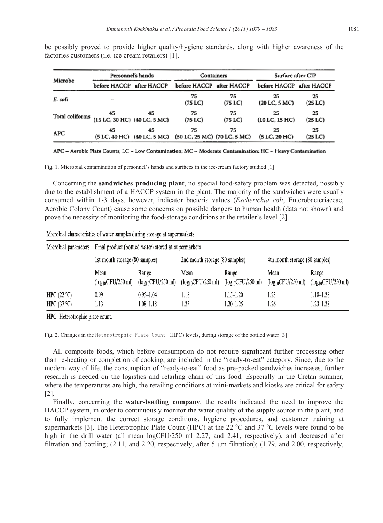be possibly proved to provide higher quality/hygiene standards, along with higher awareness of the factories customers (i.e. ice cream retailers) [1].

| Microbe         | Personnel's hands            |                                   | Containers                         |                            | Surface after CIP        |               |
|-----------------|------------------------------|-----------------------------------|------------------------------------|----------------------------|--------------------------|---------------|
|                 | before HACCP after HACCP     |                                   | before HACCP after HACCP           |                            | before HACCP after HACCP |               |
| E. coli         |                              |                                   | 75<br>(75 LC)                      | 75<br>(75~ <sub>LC</sub> ) | 25<br>(20 L C, 5 M C)    | 25<br>(25 LC) |
| Total coliforms | (15 LC, 30 HC) (40 LC, 5 MC) | 45                                | 75<br>(75~ <sub>LC</sub> )         | 75<br>(75 LC)              | 25<br>$(10$ LC, $15$ HC) | 25<br>(25 LC) |
| APC             | 45                           | 45<br>(5 LC, 40 HC) (40 LC, 5 MC) | 75<br>(50 LC, 25 MC) (70 LC, 5 MC) | 75                         | 25<br>(5 LC, 20 HC)      | 25<br>(25 LC) |

APC - Aerobic Plate Counts; LC - Low Contamination; MC - Moderate Contamination; HC - Heavy Contamination

Fig. 1. Microbial contamination of personnel's hands and surfaces in the ice-cream factory studied [1]

Concerning the **sandwiches producing plant**, no special food-safety problem was detected, possibly due to the establishment of a HACCP system in the plant. The majority of the sandwiches were usually consumed within 1-3 days, however, indicator bacteria values (*Escherichia coli*, Enterobacteriaceae, Aerobic Colony Count) cause some concerns on possible dangers to human health (data not shown) and prove the necessity of monitoring the food-storage conditions at the retailer's level [2].

| Microbial parameters | Final product (bottled water) stored at supermarkets |                        |                                |                        |                                |                        |  |  |  |
|----------------------|------------------------------------------------------|------------------------|--------------------------------|------------------------|--------------------------------|------------------------|--|--|--|
|                      | 1st month storage (80 samples)                       |                        | 2nd month storage (80 samples) |                        | 4th month storage (80 samples) |                        |  |  |  |
|                      | Mean                                                 | Range                  | Mean                           | Range                  | Mean                           | Range                  |  |  |  |
|                      | $(log_{10}CFU/250$ ml)                               | $(log_{10}CFU/250$ ml) | $(log_{10}CFU/250$ ml)         | $(log_{10}CFU/250$ ml) | $(log_{10}CFU/250$ ml)         | $(log_{10}CFU/250 ml)$ |  |  |  |
| HPC $(22 °C)$        | 0.99                                                 | $0.95 - 1.04$          | 1.18                           | $1.15 - 1.20$          | 1.23                           | 1.18-1.28              |  |  |  |
| HPC $(37 °C)$        |                                                      | 1.08–1.18              | 1.23                           | 1.20–1.25              | 1.26                           | $1.23 - 1.28$          |  |  |  |

Microbial characteristics of water samples during storage at supermarkets

HPC: Heterotrophic plate count.

Fig. 2. Changes in the Heterotrophic Plate Count (HPC) levels, during storage of the bottled water [3]

All composite foods, which before consumption do not require significant further processing other than re-heating or completion of cooking, are included in the "ready-to-eat" category. Since, due to the modern way of life, the consumption of "ready-to-eat" food as pre-packed sandwiches increases, further research is needed on the logistics and retailing chain of this food. Especially in the Cretan summer, where the temperatures are high, the retailing conditions at mini-markets and kiosks are critical for safety [2].

Finally, concerning the **water-bottling company**, the results indicated the need to improve the HACCP system, in order to continuously monitor the water quality of the supply source in the plant, and to fully implement the correct storage conditions, hygiene procedures, and customer training at supermarkets [3]. The Heterotrophic Plate Count (HPC) at the 22  $^{\circ}$ C and 37  $^{\circ}$ C levels were found to be high in the drill water (all mean logCFU/250 ml 2.27, and 2.41, respectively), and decreased after filtration and bottling;  $(2.11, \text{ and } 2.20, \text{ respectively}, \text{ after } 5 \text{ µm filtration})$ ;  $(1.79, \text{ and } 2.00, \text{ respectively}, \text{ after } 6 \text{ µm filtration})$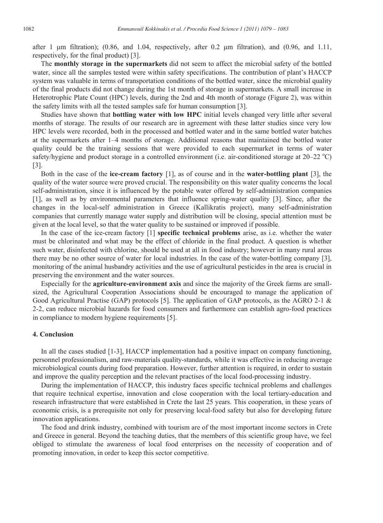after 1 um filtration);  $(0.86, \text{ and } 1.04, \text{ respectively, after } 0.2 \text{ um filtration})$ , and  $(0.96, \text{ and } 1.11, \text{ respectively})$ respectively, for the final product) [3].

The **monthly storage in the supermarkets** did not seem to affect the microbial safety of the bottled water, since all the samples tested were within safety specifications. The contribution of plant's HACCP system was valuable in terms of transportation conditions of the bottled water, since the microbial quality of the final products did not change during the 1st month of storage in supermarkets. A small increase in Heterotrophic Plate Count (HPC) levels, during the 2nd and 4th month of storage (Figure 2), was within the safety limits with all the tested samples safe for human consumption [3].

Studies have shown that **bottling water with low HPC** initial levels changed very little after several months of storage. The results of our research are in agreement with these latter studies since very low HPC levels were recorded, both in the processed and bottled water and in the same bottled water batches at the supermarkets after 1–4 months of storage. Additional reasons that maintained the bottled water quality could be the training sessions that were provided to each supermarket in terms of water safety/hygiene and product storage in a controlled environment (i.e. air-conditioned storage at  $20-22$  °C) [3].

Both in the case of the **ice-cream factory** [1], as of course and in the **water-bottling plant** [3], the quality of the water source were proved crucial. The responsibility on this water quality concerns the local self-administration, since it is influenced by the potable water offered by self-administration companies [1], as well as by environmental parameters that influence spring-water quality [3]. Since, after the changes in the local-self administration in Greece (Kallikratis project), many self-administration companies that currently manage water supply and distribution will be closing, special attention must be given at the local level, so that the water quality to be sustained or improved if possible.

In the case of the ice-cream factory [1] **specific technical problems** arise, as i.e. whether the water must be chlorinated and what may be the effect of chloride in the final product. A question is whether such water, disinfected with chlorine, should be used at all in food industry; however in many rural areas there may be no other source of water for local industries. In the case of the water-bottling company [3], monitoring of the animal husbandry activities and the use of agricultural pesticides in the area is crucial in preserving the environment and the water sources.

Especially for the **agriculture-environment axis** and since the majority of the Greek farms are smallsized, the Agricultural Cooperation Associations should be encouraged to manage the application of Good Agricultural Practise (GAP) protocols [5]. The application of GAP protocols, as the AGRO 2-1 & 2-2, can reduce microbial hazards for food consumers and furthermore can establish agro-food practices in compliance to modern hygiene requirements [5].

#### **4. Conclusion**

In all the cases studied [1-3], HACCP implementation had a positive impact on company functioning, personnel professionalism, and raw-materials quality-standards, while it was effective in reducing average microbiological counts during food preparation. However, further attention is required, in order to sustain and improve the quality perception and the relevant practises of the local food-processing industry.

During the implementation of HACCP, this industry faces specific technical problems and challenges that require technical expertise, innovation and close cooperation with the local tertiary-education and research infrastructure that were established in Crete the last 25 years. This cooperation, in these years of economic crisis, is a prerequisite not only for preserving local-food safety but also for developing future innovation applications.

The food and drink industry, combined with tourism are of the most important income sectors in Crete and Greece in general. Beyond the teaching duties, that the members of this scientific group have, we feel obliged to stimulate the awareness of local food enterprises on the necessity of cooperation and of promoting innovation, in order to keep this sector competitive.